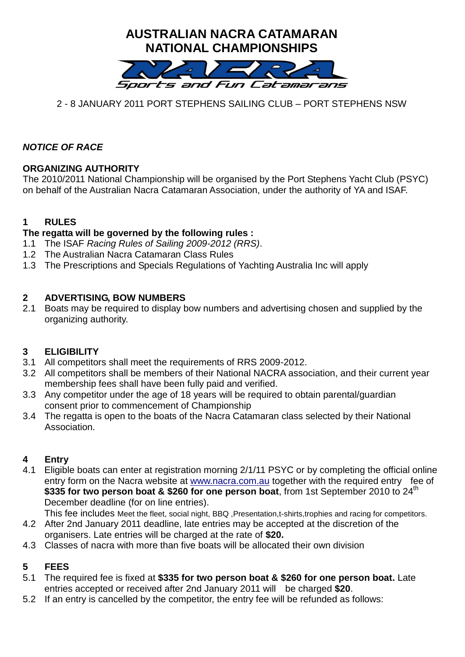

# 2 - 8 JANUARY 2011 PORT STEPHENS SAILING CLUB – PORT STEPHENS NSW

# *NOTICE OF RACE*

## **ORGANIZING AUTHORITY**

The 2010/2011 National Championship will be organised by the Port Stephens Yacht Club (PSYC) on behalf of the Australian Nacra Catamaran Association, under the authority of YA and ISAF.

## **1 RULES**

### **The regatta will be governed by the following rules :**

- 1.1 The ISAF *Racing Rules of Sailing 2009-2012 (RRS)*.
- 1.2 The Australian Nacra Catamaran Class Rules
- 1.3 The Prescriptions and Specials Regulations of Yachting Australia Inc will apply

### **2 ADVERTISING, BOW NUMBERS**

2.1 Boats may be required to display bow numbers and advertising chosen and supplied by the organizing authority.

#### **3 ELIGIBILITY**

- 3.1 All competitors shall meet the requirements of RRS 2009-2012.
- 3.2 All competitors shall be members of their National NACRA association, and their current year membership fees shall have been fully paid and verified.
- 3.3 Any competitor under the age of 18 years will be required to obtain parental/guardian consent prior to commencement of Championship
- 3.4 The regatta is open to the boats of the Nacra Catamaran class selected by their National Association.

## **4 Entry**

4.1 Eligible boats can enter at registration morning 2/1/11 PSYC or by completing the official online entry form on the Nacra website at [www.nacra.com.au](http://www.nacra.com.au/) together with the required entry fee of \$335 for two person boat & \$260 for one person boat, from 1st September 2010 to 24<sup>th</sup> December deadline (for on line entries).

This fee includes Meet the fleet, social night, BBQ ,Presentation,t-shirts,trophies and racing for competitors.

- 4.2 After 2nd January 2011 deadline, late entries may be accepted at the discretion of the organisers. Late entries will be charged at the rate of **\$20.**
- 4.3 Classes of nacra with more than five boats will be allocated their own division

## **5 FEES**

- 5.1 The required fee is fixed at **\$335 for two person boat & \$260 for one person boat.** Late entries accepted or received after 2nd January 2011 will be charged **\$20**.
- 5.2 If an entry is cancelled by the competitor, the entry fee will be refunded as follows: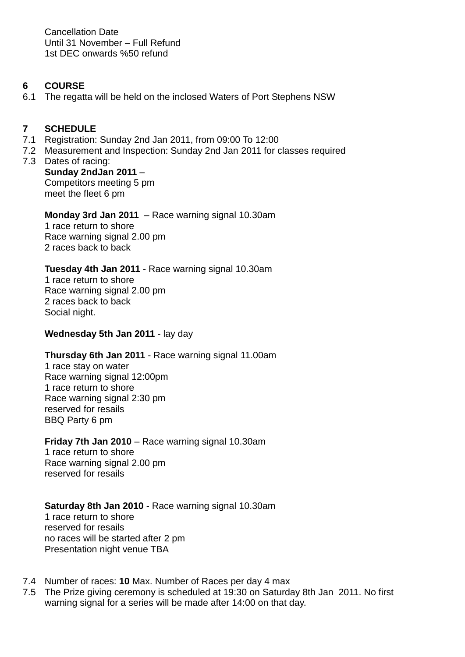Cancellation Date Until 31 November – Full Refund 1st DEC onwards %50 refund

### **6 COURSE**

6.1 The regatta will be held on the inclosed Waters of Port Stephens NSW

## **7 SCHEDULE**

- 7.1 Registration: Sunday 2nd Jan 2011, from 09:00 To 12:00
- 7.2 Measurement and Inspection: Sunday 2nd Jan 2011 for classes required
- 7.3 Dates of racing: **Sunday 2ndJan 2011** – Competitors meeting 5 pm meet the fleet 6 pm

### **Monday 3rd Jan 2011** – Race warning signal 10.30am

1 race return to shore Race warning signal 2.00 pm 2 races back to back

## **Tuesday 4th Jan 2011** - Race warning signal 10.30am

1 race return to shore Race warning signal 2.00 pm 2 races back to back Social night.

#### **Wednesday 5th Jan 2011** - lay day

## **Thursday 6th Jan 2011** - Race warning signal 11.00am

1 race stay on water Race warning signal 12:00pm 1 race return to shore Race warning signal 2:30 pm reserved for resails BBQ Party 6 pm

#### **Friday 7th Jan 2010** – Race warning signal 10.30am

1 race return to shore Race warning signal 2.00 pm reserved for resails

## **Saturday 8th Jan 2010** - Race warning signal 10.30am

1 race return to shore reserved for resails no races will be started after 2 pm Presentation night venue TBA

- 7.4 Number of races: **10** Max. Number of Races per day 4 max
- 7.5 The Prize giving ceremony is scheduled at 19:30 on Saturday 8th Jan 2011. No first warning signal for a series will be made after 14:00 on that day.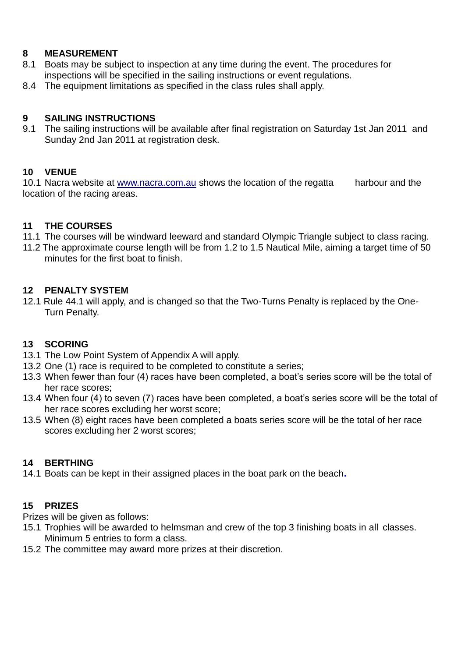### **8 MEASUREMENT**

- 8.1 Boats may be subject to inspection at any time during the event. The procedures for inspections will be specified in the sailing instructions or event regulations.
- 8.4 The equipment limitations as specified in the class rules shall apply.

### **9 SAILING INSTRUCTIONS**

9.1 The sailing instructions will be available after final registration on Saturday 1st Jan 2011 and Sunday 2nd Jan 2011 at registration desk.

### **10 VENUE**

10.1 Nacra website at [www.nacra.com.au](http://www.nacra.com.au/) shows the location of the regatta harbour and the location of the racing areas.

### **11 THE COURSES**

- 11.1 The courses will be windward leeward and standard Olympic Triangle subject to class racing.
- 11.2 The approximate course length will be from 1.2 to 1.5 Nautical Mile, aiming a target time of 50 minutes for the first boat to finish.

#### **12 PENALTY SYSTEM**

12.1 Rule 44.1 will apply, and is changed so that the Two-Turns Penalty is replaced by the One-Turn Penalty.

#### **13 SCORING**

- 13.1 The Low Point System of Appendix A will apply.
- 13.2 One (1) race is required to be completed to constitute a series;
- 13.3 When fewer than four (4) races have been completed, a boat's series score will be the total of her race scores;
- 13.4 When four (4) to seven (7) races have been completed, a boat's series score will be the total of her race scores excluding her worst score;
- 13.5 When (8) eight races have been completed a boats series score will be the total of her race scores excluding her 2 worst scores;

#### **14 BERTHING**

14.1 Boats can be kept in their assigned places in the boat park on the beach**.** 

## **15 PRIZES**

Prizes will be given as follows:

- 15.1 Trophies will be awarded to helmsman and crew of the top 3 finishing boats in all classes. Minimum 5 entries to form a class.
- 15.2 The committee may award more prizes at their discretion.